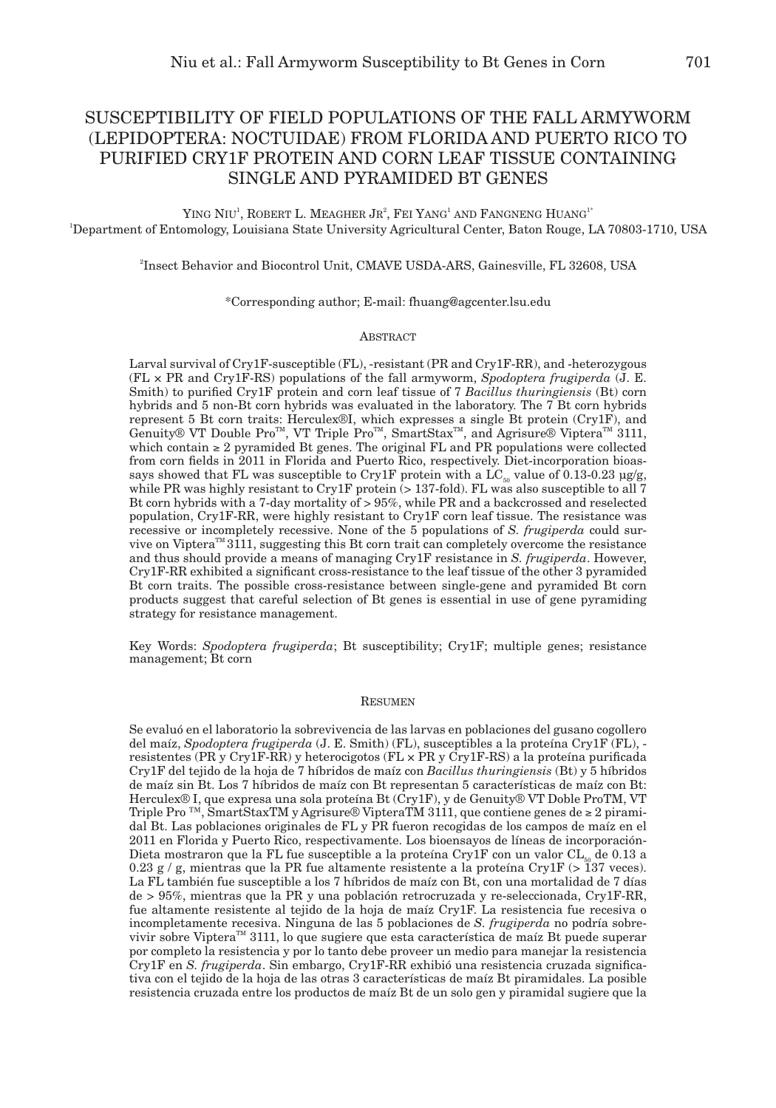# SUSCEPTIBILITY OF FIELD POPULATIONS OF THE FALL ARMYWORM (LEPIDOPTERA: NOCTUIDAE) FROM FLORIDA AND PUERTO RICO TO PURIFIED CRY1F PROTEIN AND CORN LEAF TISSUE CONTAINING SINGLE AND PYRAMIDED BT GENES

YING NIU<sup>1</sup>, ROBERT L. MEAGHER JR<sup>2</sup>, FEI YANG<sup>1</sup> AND FANGNENG HUANG<sup>1\*</sup> 1 Department of Entomology, Louisiana State University Agricultural Center, Baton Rouge, LA 70803-1710, USA

2 Insect Behavior and Biocontrol Unit, CMAVE USDA-ARS, Gainesville, FL 32608, USA

## \*Corresponding author; E-mail: fhuang@agcenter.lsu.edu

#### **ABSTRACT**

Larval survival of Cry1F-susceptible (FL), -resistant (PR and Cry1F-RR), and -heterozygous (FL × PR and Cry1F-RS) populations of the fall armyworm, *Spodoptera frugiperda* (J. E. Smith) to purified Cry1F protein and corn leaf tissue of 7 *Bacillus thuringiensis* (Bt) corn hybrids and 5 non-Bt corn hybrids was evaluated in the laboratory. The 7 Bt corn hybrids represent 5 Bt corn traits: Herculex®I, which expresses a single Bt protein (Cry1F), and Genuity® VT Double Pro™, VT Triple Pro™, SmartStax™, and Agrisure® Viptera™ 3111, which contain ≥ 2 pyramided Bt genes. The original FL and PR populations were collected from corn fields in 2011 in Florida and Puerto Rico, respectively. Diet-incorporation bioassays showed that FL was susceptible to Cry1F protein with a  $\text{LC}_{\text{ss}}$  value of 0.13-0.23 µg/g, while PR was highly resistant to Cry1F protein  $\sim$  137-fold). FL was also susceptible to all 7 Bt corn hybrids with a 7-day mortality of  $> 95\%$ , while PR and a backcrossed and reselected population, Cry1F-RR, were highly resistant to Cry1F corn leaf tissue. The resistance was recessive or incompletely recessive. None of the 5 populations of *S. frugiperda* could survive on Viptera<sup>TM</sup> 3111, suggesting this Bt corn trait can completely overcome the resistance and thus should provide a means of managing Cry1F resistance in *S. frugiperda*. However, Cry1F-RR exhibited a significant cross-resistance to the leaf tissue of the other 3 pyramided Bt corn traits. The possible cross-resistance between single-gene and pyramided Bt corn products suggest that careful selection of Bt genes is essential in use of gene pyramiding strategy for resistance management.

Key Words: *Spodoptera frugiperda*; Bt susceptibility; Cry1F; multiple genes; resistance management; Bt corn

# Resumen

Se evaluó en el laboratorio la sobrevivencia de las larvas en poblaciones del gusano cogollero del maíz, *Spodoptera frugiperda* (J. E. Smith) (FL), susceptibles a la proteína Cry1F (FL), resistentes (PR y Cry1F-RR) y heterocigotos (FL × PR y Cry1F-RS) a la proteína purificada Cry1F del tejido de la hoja de 7 híbridos de maíz con *Bacillus thuringiensis* (Bt) y 5 híbridos de maíz sin Bt. Los 7 híbridos de maíz con Bt representan 5 características de maíz con Bt: Herculex® I, que expresa una sola proteína Bt (Cry1F), y de Genuity® VT Doble ProTM, VT Triple Pro <sup>™</sup>, SmartStaxTM y Agrisure® VipteraTM 3111, que contiene genes de  $\geq 2$  piramidal Bt. Las poblaciones originales de FL y PR fueron recogidas de los campos de maíz en el 2011 en Florida y Puerto Rico, respectivamente. Los bioensayos de líneas de incorporación-Dieta mostraron que la FL fue susceptible a la proteína Cry1F con un valor CL<sub>50</sub> de 0.13 a 0.23 g / g, mientras que la PR fue altamente resistente a la proteína Cry1F ( $>$ 137 veces). La FL también fue susceptible a los 7 híbridos de maíz con Bt, con una mortalidad de 7 días de > 95%, mientras que la PR y una población retrocruzada y re-seleccionada, Cry1F-RR, fue altamente resistente al tejido de la hoja de maíz Cry1F. La resistencia fue recesiva o incompletamente recesiva. Ninguna de las 5 poblaciones de *S. frugiperda* no podría sobrevivir sobre Viptera<sup>™</sup> 3111, lo que sugiere que esta característica de maíz Bt puede superar por completo la resistencia y por lo tanto debe proveer un medio para manejar la resistencia Cry1F en *S. frugiperda*. Sin embargo, Cry1F-RR exhibió una resistencia cruzada significativa con el tejido de la hoja de las otras 3 características de maíz Bt piramidales. La posible resistencia cruzada entre los productos de maíz Bt de un solo gen y piramidal sugiere que la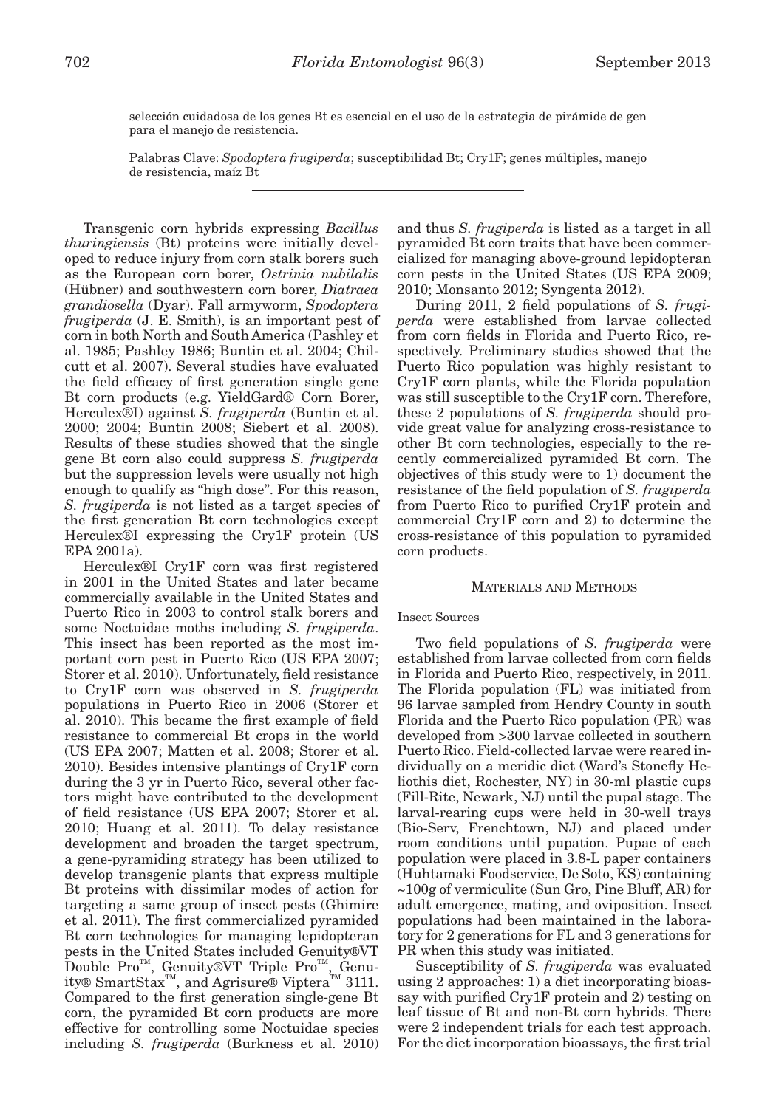selección cuidadosa de los genes Bt es esencial en el uso de la estrategia de pirámide de gen para el manejo de resistencia.

Palabras Clave: *Spodoptera frugiperda*; susceptibilidad Bt; Cry1F; genes múltiples, manejo de resistencia, maíz Bt

Transgenic corn hybrids expressing *Bacillus thuringiensis* (Bt) proteins were initially developed to reduce injury from corn stalk borers such as the European corn borer, *Ostrinia nubilalis* (Hübner) and southwestern corn borer, *Diatraea grandiosella* (Dyar). Fall armyworm, *Spodoptera frugiperda* (J. E. Smith), is an important pest of corn in both North and South America (Pashley et al. 1985; Pashley 1986; Buntin et al. 2004; Chilcutt et al. 2007). Several studies have evaluated the field efficacy of first generation single gene Bt corn products (e.g. YieldGard® Corn Borer, Herculex®I) against *S. frugiperda* (Buntin et al. 2000; 2004; Buntin 2008; Siebert et al. 2008). Results of these studies showed that the single gene Bt corn also could suppress *S. frugiperda* but the suppression levels were usually not high enough to qualify as "high dose". For this reason, *S. frugiperda* is not listed as a target species of the first generation Bt corn technologies except Herculex®I expressing the Cry1F protein (US EPA 2001a).

Herculex®I Cry1F corn was first registered in 2001 in the United States and later became commercially available in the United States and Puerto Rico in 2003 to control stalk borers and some Noctuidae moths including *S. frugiperda*. This insect has been reported as the most important corn pest in Puerto Rico (US EPA 2007; Storer et al. 2010). Unfortunately, field resistance to Cry1F corn was observed in *S. frugiperda* populations in Puerto Rico in 2006 (Storer et al. 2010). This became the first example of field resistance to commercial Bt crops in the world (US EPA 2007; Matten et al. 2008; Storer et al. 2010). Besides intensive plantings of Cry1F corn during the 3 yr in Puerto Rico, several other factors might have contributed to the development of field resistance (US EPA 2007; Storer et al. 2010; Huang et al. 2011). To delay resistance development and broaden the target spectrum, a gene-pyramiding strategy has been utilized to develop transgenic plants that express multiple Bt proteins with dissimilar modes of action for targeting a same group of insect pests (Ghimire et al. 2011). The first commercialized pyramided Bt corn technologies for managing lepidopteran pests in the United States included Genuity®VT Double Pro<sup>TM</sup>, Genuity®VT Triple Pro<sup>TM</sup>, Genuity® SmartStax<sup>™</sup>, and Agrisure® Viptera<sup>™</sup> 3111. Compared to the first generation single-gene Bt corn, the pyramided Bt corn products are more effective for controlling some Noctuidae species including *S. frugiperda* (Burkness et al. 2010)

and thus *S. frugiperda* is listed as a target in all pyramided Bt corn traits that have been commercialized for managing above-ground lepidopteran corn pests in the United States (US EPA 2009; 2010; Monsanto 2012; Syngenta 2012).

During 2011, 2 field populations of *S. frugiperda* were established from larvae collected from corn fields in Florida and Puerto Rico, respectively. Preliminary studies showed that the Puerto Rico population was highly resistant to Cry1F corn plants, while the Florida population was still susceptible to the Cry1F corn. Therefore, these 2 populations of *S. frugiperda* should provide great value for analyzing cross-resistance to other Bt corn technologies, especially to the recently commercialized pyramided Bt corn. The objectives of this study were to 1) document the resistance of the field population of *S. frugiperda* from Puerto Rico to purified Cry1F protein and commercial Cry1F corn and 2) to determine the cross-resistance of this population to pyramided corn products.

### Materials and Methods

## Insect Sources

Two field populations of *S. frugiperda* were established from larvae collected from corn fields in Florida and Puerto Rico, respectively, in 2011. The Florida population (FL) was initiated from 96 larvae sampled from Hendry County in south Florida and the Puerto Rico population (PR) was developed from >300 larvae collected in southern Puerto Rico. Field-collected larvae were reared individually on a meridic diet (Ward's Stonefly Heliothis diet, Rochester, NY) in 30-ml plastic cups (Fill-Rite, Newark, NJ) until the pupal stage. The larval-rearing cups were held in 30-well trays (Bio-Serv, Frenchtown, NJ) and placed under room conditions until pupation. Pupae of each population were placed in 3.8-L paper containers (Huhtamaki Foodservice, De Soto, KS) containing ~100g of vermiculite (Sun Gro, Pine Bluff, AR) for adult emergence, mating, and oviposition. Insect populations had been maintained in the laboratory for 2 generations for FL and 3 generations for PR when this study was initiated.

Susceptibility of *S. frugiperda* was evaluated using 2 approaches: 1) a diet incorporating bioassay with purified Cry1F protein and 2) testing on leaf tissue of Bt and non-Bt corn hybrids. There were 2 independent trials for each test approach. For the diet incorporation bioassays, the first trial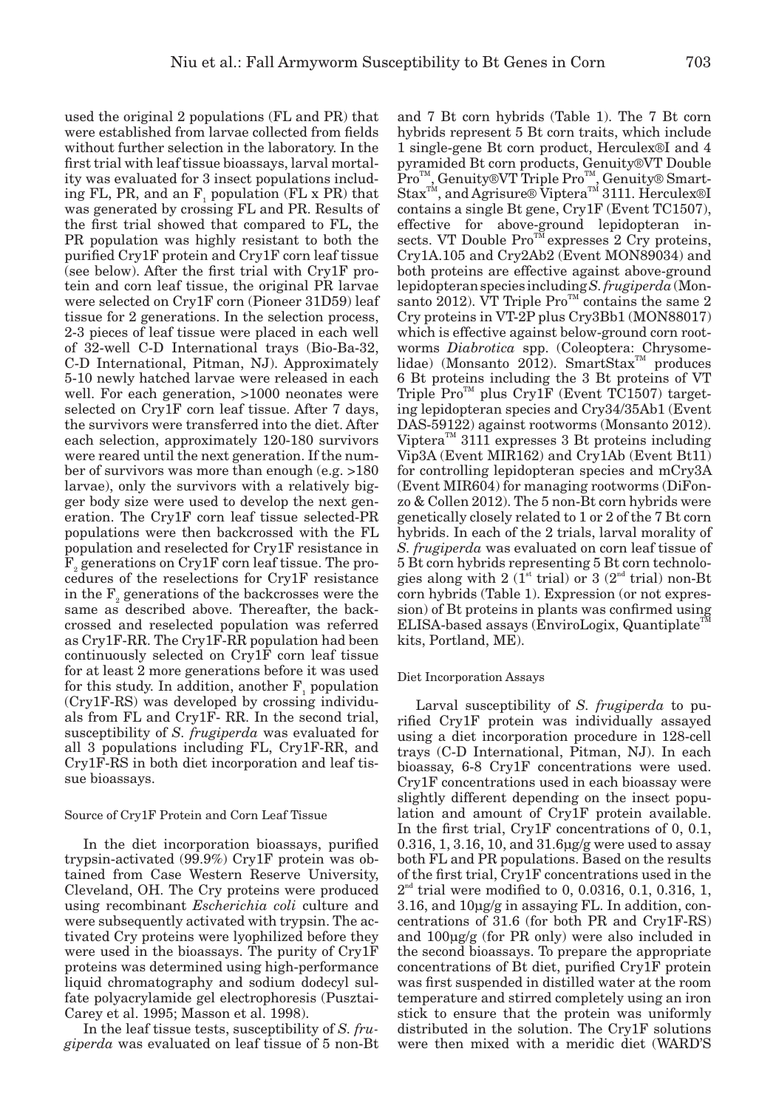used the original 2 populations (FL and PR) that were established from larvae collected from fields without further selection in the laboratory. In the first trial with leaf tissue bioassays, larval mortality was evaluated for 3 insect populations including FL, PR, and an  $F_1$  population (FL x PR) that was generated by crossing FL and PR. Results of the first trial showed that compared to FL, the PR population was highly resistant to both the purified Cry1F protein and Cry1F corn leaf tissue (see below). After the first trial with Cry1F protein and corn leaf tissue, the original PR larvae were selected on Cry1F corn (Pioneer 31D59) leaf tissue for 2 generations. In the selection process, 2-3 pieces of leaf tissue were placed in each well of 32-well C-D International trays (Bio-Ba-32, C-D International, Pitman, NJ). Approximately 5-10 newly hatched larvae were released in each well. For each generation, >1000 neonates were selected on Cry1F corn leaf tissue. After 7 days, the survivors were transferred into the diet. After each selection, approximately 120-180 survivors were reared until the next generation. If the number of survivors was more than enough (e.g. >180 larvae), only the survivors with a relatively bigger body size were used to develop the next generation. The Cry1F corn leaf tissue selected-PR populations were then backcrossed with the FL population and reselected for Cry1F resistance in  $\mathrm{F}_\mathrm{2}$  generations on Cry1F corn leaf tissue. The procedures of the reselections for Cry1F resistance in the  $F_{2}$  generations of the backcrosses were the same as described above. Thereafter, the backcrossed and reselected population was referred as Cry1F-RR. The Cry1F-RR population had been continuously selected on Cry1F corn leaf tissue for at least 2 more generations before it was used for this study. In addition, another  $F_1$  population (Cry1F-RS) was developed by crossing individuals from FL and Cry1F- RR. In the second trial, susceptibility of *S. frugiperda* was evaluated for all 3 populations including FL, Cry1F-RR, and Cry1F-RS in both diet incorporation and leaf tissue bioassays.

#### Source of Cry1F Protein and Corn Leaf Tissue

In the diet incorporation bioassays, purified trypsin-activated (99.9%) Cry1F protein was obtained from Case Western Reserve University, Cleveland, OH. The Cry proteins were produced using recombinant *Escherichia coli* culture and were subsequently activated with trypsin. The activated Cry proteins were lyophilized before they were used in the bioassays. The purity of Cry1F proteins was determined using high-performance liquid chromatography and sodium dodecyl sulfate polyacrylamide gel electrophoresis (Pusztai-Carey et al. 1995; Masson et al. 1998).

In the leaf tissue tests, susceptibility of *S. frugiperda* was evaluated on leaf tissue of 5 non-Bt

and 7 Bt corn hybrids (Table 1). The 7 Bt corn hybrids represent 5 Bt corn traits, which include 1 single-gene Bt corn product, Herculex®I and 4 pyramided Bt corn products, Genuity®VT Double Pro<sup>™</sup>, Genuity®VT Triple Pro™, Genuity® Smart- $\text{Stax}^{\text{TM}}$ , and Agrisure® Viptera<sup>™</sup> 3111. Herculex®I contains a single Bt gene, Cry1F (Event TC1507), effective for above-ground lepidopteran insects. VT Double  $Pro^{\mathbb{T}M}$  expresses 2 Cry proteins, Cry1A.105 and Cry2Ab2 (Event MON89034) and both proteins are effective against above-ground lepidopteran species including *S. frugiperda* (Monsanto 2012). VT Triple  $Pro<sup>TM</sup>$  contains the same 2 Cry proteins in VT-2P plus Cry3Bb1 (MON88017) which is effective against below-ground corn rootworms *Diabrotica* spp. (Coleoptera: Chrysomelidae) (Monsanto 2012). SmartStax<sup>™</sup> produces 6 Bt proteins including the 3 Bt proteins of VT Triple  $Pro^{\mathsf{TM}}$  plus Cry1F (Event TC1507) targeting lepidopteran species and Cry34/35Ab1 (Event DAS-59122) against rootworms (Monsanto 2012). Viptera<sup>TM</sup> 3111 expresses 3 Bt proteins including Vip3A (Event MIR162) and Cry1Ab (Event Bt11) for controlling lepidopteran species and mCry3A (Event MIR604) for managing rootworms (DiFonzo & Collen 2012). The 5 non-Bt corn hybrids were genetically closely related to 1 or 2 of the 7 Bt corn hybrids. In each of the 2 trials, larval morality of *S. frugiperda* was evaluated on corn leaf tissue of 5 Bt corn hybrids representing 5 Bt corn technologies along with 2 ( $1^{\text{st}}$  trial) or 3 ( $2^{\text{nd}}$  trial) non-Bt corn hybrids (Table 1). Expression (or not expression) of Bt proteins in plants was confirmed using ELISA-based assays (EnviroLogix, Quantiplate<sup>T1</sup> kits, Portland, ME).

## Diet Incorporation Assays

Larval susceptibility of *S. frugiperda* to purified Cry1F protein was individually assayed using a diet incorporation procedure in 128-cell trays (C-D International, Pitman, NJ). In each bioassay, 6-8 Cry1F concentrations were used. Cry1F concentrations used in each bioassay were slightly different depending on the insect population and amount of Cry1F protein available. In the first trial, Cry1F concentrations of 0, 0.1, 0.316, 1, 3.16, 10, and 31.6µg/g were used to assay both FL and PR populations. Based on the results of the first trial, Cry1F concentrations used in the  $2<sup>nd</sup>$  trial were modified to 0, 0.0316, 0.1, 0.316, 1, 3.16, and 10µg/g in assaying FL. In addition, concentrations of 31.6 (for both PR and Cry1F-RS) and 100µg/g (for PR only) were also included in the second bioassays. To prepare the appropriate concentrations of Bt diet, purified Cry1F protein was first suspended in distilled water at the room temperature and stirred completely using an iron stick to ensure that the protein was uniformly distributed in the solution. The Cry1F solutions were then mixed with a meridic diet (WARD'S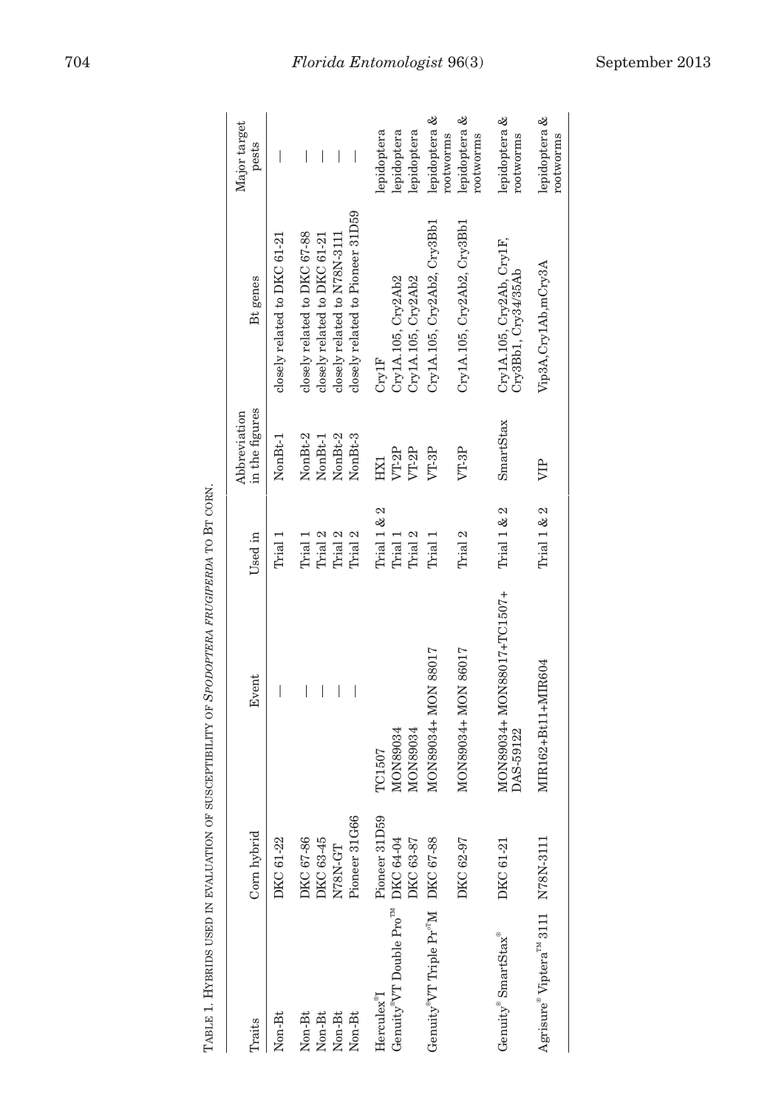| ׇ֚֘                           |
|-------------------------------|
| í                             |
|                               |
| Ì                             |
|                               |
| ٢                             |
| l                             |
|                               |
|                               |
|                               |
| l                             |
| l                             |
| l<br> <br>                    |
| ĺ<br>l                        |
|                               |
| $\frac{1}{1}$                 |
| l                             |
| l                             |
| j<br>í                        |
| Ì                             |
| ֕                             |
| l<br>l                        |
| į<br>֚֘                       |
| l<br>l                        |
| l                             |
| ֠                             |
| Ì<br>l                        |
| I                             |
|                               |
| $\overline{a}$                |
|                               |
| ׇ֚֘                           |
| l                             |
| l<br>l                        |
| $\overline{\phantom{a}}$<br>l |
| l<br>ׇ֚֚֚֕֡                   |
| ֕<br>l                        |
| l                             |
| ֕                             |
| i<br>l                        |
| $\frac{1}{2}$                 |
|                               |
|                               |
|                               |
| l                             |
| $\frac{1}{2}$                 |
| l                             |
| l<br>l                        |
| l                             |
| l                             |
| i<br>ì                        |
| ׇ֚֓֡                          |
| $\frac{1}{1}$                 |
| ׇ֚֬֓֡                         |
| İ<br>֓֕֕֡                     |
|                               |
|                               |
| j                             |
| ֕                             |
| ĺ<br>l                        |
|                               |
|                               |
|                               |
| ١                             |
| i<br>J                        |
| י                             |
| $\overline{\phantom{a}}$<br>l |
| ļ<br>l                        |
| ĺ<br>֠                        |
| l<br>t                        |
|                               |
| l                             |
| l<br>$\frac{1}{2}$            |
| i<br>֠                        |

|                                                             |               | TABLE 1. HYBRIDS USED IN EVALUATION OF SUSCEPTIBILITY OF SPODOPTERA FRUGIPERDA TO BT CORN. |               |                                |                                                                                                  |                                       |
|-------------------------------------------------------------|---------------|--------------------------------------------------------------------------------------------|---------------|--------------------------------|--------------------------------------------------------------------------------------------------|---------------------------------------|
| Traits                                                      | Corn hybrid   | Event                                                                                      | Used in       | in the figures<br>Abbreviation | Bt genes                                                                                         | Major target<br>pests                 |
| Non-Bt                                                      | DKC 61-22     | I                                                                                          | Trial 1       | NonBt-1                        | closely related to DKC 61-21                                                                     | I                                     |
| Non-Bt                                                      | DKC 67-86     | I                                                                                          | Trial         | NonBt-2                        | closely related to DKC 67-88                                                                     | $\begin{array}{c} \hline \end{array}$ |
| Non-Bt                                                      | DKC 63-45     | I                                                                                          | Trial 2       | NonBt-1                        | closely related to DKC 61-21                                                                     | I                                     |
| Non-Bt                                                      | N78N-GT       | $\overline{\phantom{a}}$                                                                   | Trial 2       | NonBt-2                        | closely related to N78N-3111                                                                     | $\overline{\phantom{a}}$              |
| Non-Bt                                                      | Pioneer 31G66 | $\overline{\phantom{a}}$                                                                   | Trial 2       | NonBt-3                        | closely related to Pioneer 31D59                                                                 | $\overline{\phantom{a}}$              |
| Herculex"I                                                  | Pioneer 31D59 | TC1507                                                                                     | Trial $1 & 2$ | HX1                            | Cry1F                                                                                            | lepidoptera                           |
| Genuity <sup>®</sup> VT Double Pro <sup>™</sup>             | DKC 64-04     | MON89034                                                                                   | Trial 1       | VT-2P                          | Cry1A.105, Cry2Ab2                                                                               | lepidoptera                           |
|                                                             | DKC 63-87     | MON89034                                                                                   | Trial 2       | VT-2P                          | Cry1A.105, Cry2Ab2                                                                               | lepidoptera                           |
| Genuity <sup>®</sup> VT Triple Pr <sup>oT</sup> M DKC 67-88 |               | MON89034+ MON 88017                                                                        | Trial 1       | VT-3P                          | Cry1A.105, Cry2Ab2, Cry3Bb1                                                                      | lepidoptera &<br>rootworms            |
|                                                             | DKC 62-97     | MON89034+ MON 86017                                                                        | Trial 2       | VT-3P                          | Cry1A.105, Cry2Ab2, Cry3Bb1                                                                      | lepidoptera &<br>rootworms            |
| Genuity® SmartStax®                                         | DKC 61-21     | MON89034+ MON88017+TC1507+<br>DAS-59122                                                    | Trial 1 & 2   | <b>SmartStax</b>               | $\begin{array}{l} \textrm{Cry1A.105, Cry2Ab, Cry1F,}\\ \textrm{Cry3Bb1, Cry34/35Ab} \end{array}$ | lepidoptera &<br>rootworms            |
| Agrisure® Viptera <sup>™</sup> 3111                         | N78N-3111     | MIR162+Bt11+MIR604                                                                         | Trial 1 & 2   | VIР                            | Vip3A, Cry1Ab, mCry3A                                                                            | lepidoptera &<br>rootworms            |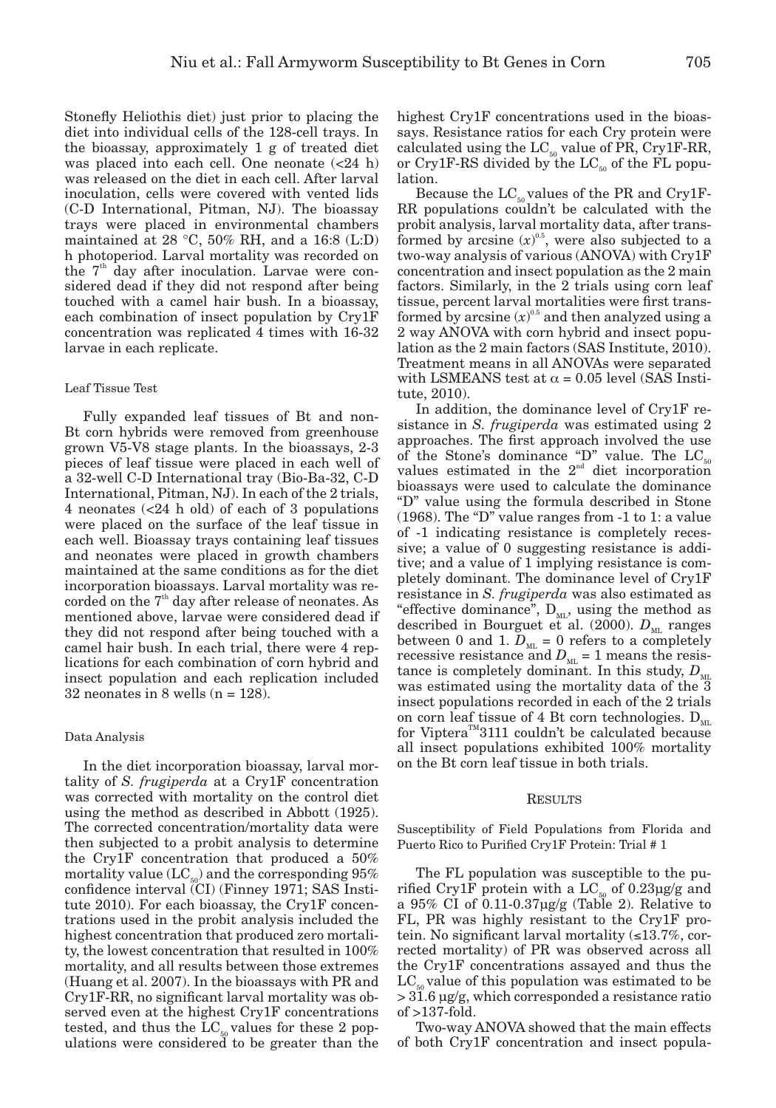Stonefly Heliothis diet) just prior to placing the diet into individual cells of the 128-cell trays. In the bioassay, approximately 1 g of treated diet was placed into each cell. One neonate  $\langle$  <24 h) was released on the diet in each cell. After larval inoculation, cells were covered with vented lids (C-D International, Pitman, NJ). The bioassay trays were placed in environmental chambers maintained at 28  $\degree$ C, 50% RH, and a 16:8 (L:D) h photoperiod. Larval mortality was recorded on the 7<sup>th</sup> day after inoculation. Larvae were considered dead if they did not respond after being touched with a camel hair bush. In a bioassay, each combination of insect population by Cry1F concentration was replicated 4 times with 16-32 larvae in each replicate.

## Leaf Tissue Test

Fully expanded leaf tissues of Bt and non-Bt corn hybrids were removed from greenhouse grown V5-V8 stage plants. In the bioassays, 2-3 pieces of leaf tissue were placed in each well of a 32-well C-D International tray (Bio-Ba-32, C-D International, Pitman, NJ). In each of the 2 trials, 4 neonates (<24 h old) of each of 3 populations were placed on the surface of the leaf tissue in each well. Bioassay trays containing leaf tissues and neonates were placed in growth chambers maintained at the same conditions as for the diet incorporation bioassays. Larval mortality was recorded on the  $7<sup>th</sup>$  day after release of neonates. As mentioned above, larvae were considered dead if they did not respond after being touched with a camel hair bush. In each trial, there were 4 replications for each combination of corn hybrid and insect population and each replication included 32 neonates in 8 wells  $(n = 128)$ .

#### Data Analysis

In the diet incorporation bioassay, larval mortality of *S. frugiperda* at a Cry1F concentration was corrected with mortality on the control diet using the method as described in Abbott (1925). The corrected concentration/mortality data were then subjected to a probit analysis to determine the Cry1F concentration that produced a 50% mortality value  $(LC_{50})$  and the corresponding 95% confidence interval (CI) (Finney 1971; SAS Institute 2010). For each bioassay, the Cry1F concentrations used in the probit analysis included the highest concentration that produced zero mortality, the lowest concentration that resulted in 100% mortality, and all results between those extremes (Huang et al. 2007). In the bioassays with PR and Cry1F-RR, no significant larval mortality was observed even at the highest Cry1F concentrations tested, and thus the  $LC_{50}$  values for these 2 populations were considered to be greater than the highest Cry1F concentrations used in the bioassays. Resistance ratios for each Cry protein were calculated using the  $LC_{50}$  value of PR, Cry1F-RR, or Cry1F-RS divided by the  $LC_{50}$  of the FL population.

Because the  $LC_{50}$  values of the PR and Cry1F-RR populations couldn't be calculated with the probit analysis, larval mortality data, after transformed by arcsine  $(x)^{0.5}$ , were also subjected to a two-way analysis of various (ANOVA) with Cry1F concentration and insect population as the 2 main factors. Similarly, in the 2 trials using corn leaf tissue, percent larval mortalities were first transformed by arcsine  $(x)^{0.5}$  and then analyzed using a 2 way ANOVA with corn hybrid and insect population as the 2 main factors (SAS Institute, 2010). Treatment means in all ANOVAs were separated with LSMEANS test at  $\alpha = 0.05$  level (SAS Institute, 2010).

In addition, the dominance level of Cry1F resistance in *S. frugiperda* was estimated using 2 approaches. The first approach involved the use of the Stone's dominance " $D$ " value. The  $LC_{50}$ values estimated in the  $2<sup>nd</sup>$  diet incorporation bioassays were used to calculate the dominance "D" value using the formula described in Stone (1968). The "D" value ranges from -1 to 1: a value of -1 indicating resistance is completely recessive; a value of 0 suggesting resistance is additive; and a value of 1 implying resistance is completely dominant. The dominance level of Cry1F resistance in *S. frugiperda* was also estimated as "effective dominance",  $D_{ML}$ , using the method as described in Bourguet et al. (2000).  $D_{\text{ML}}$  ranges between 0 and 1.  $D_{ML} = 0$  refers to a completely recessive resistance and  $D_{ML} = 1$  means the resistance is completely dominant. In this study,  $D_{\text{ML}}$ was estimated using the mortality data of the 3 insect populations recorded in each of the 2 trials on corn leaf tissue of 4 Bt corn technologies.  $D_{ML}$ for Viptera<sup>TM</sup>3111 couldn't be calculated because all insect populations exhibited 100% mortality on the Bt corn leaf tissue in both trials.

#### **RESULTS**

Susceptibility of Field Populations from Florida and Puerto Rico to Purified Cry1F Protein: Trial # 1

The FL population was susceptible to the purified Cry1F protein with a  $LC_{50}$  of 0.23µg/g and a 95% CI of 0.11-0.37µg/g (Table 2). Relative to FL, PR was highly resistant to the Cry1F protein. No significant larval mortality  $(13.7\%, \text{cor-}$ rected mortality) of PR was observed across all the Cry1F concentrations assayed and thus the  $LC_{50}$  value of this population was estimated to be > 31.6 µg/g, which corresponded a resistance ratio  $of >137-fold.$ 

Two-way ANOVA showed that the main effects of both Cry1F concentration and insect popula-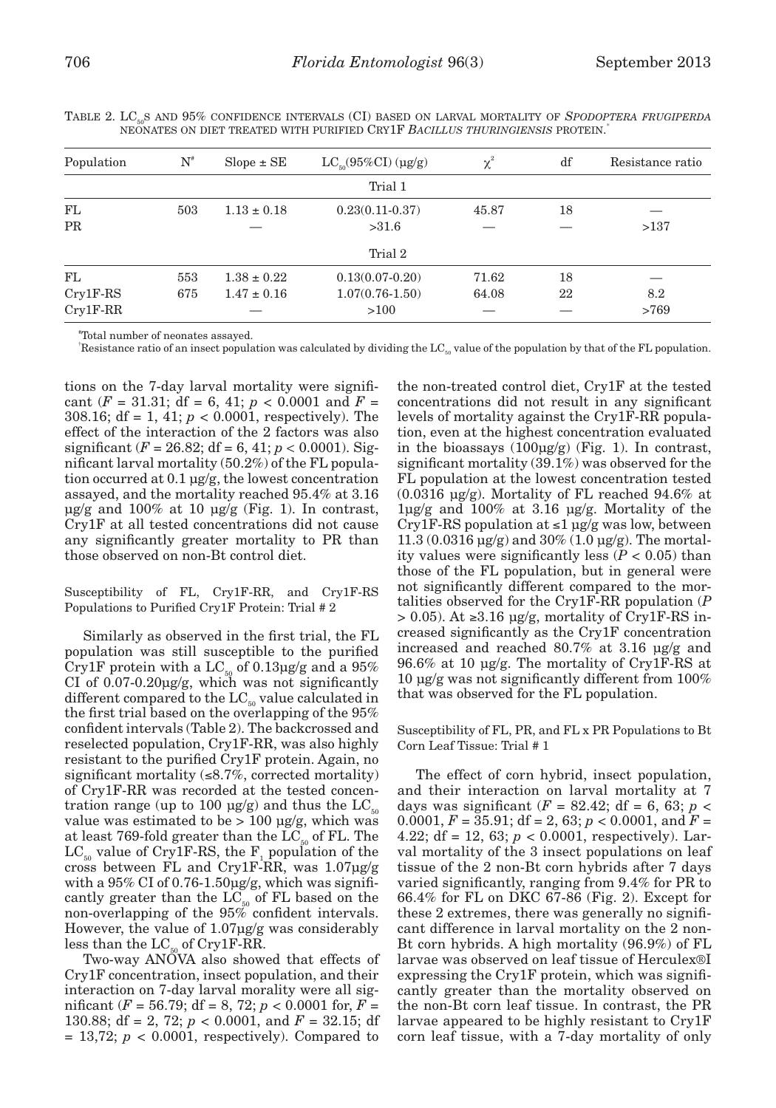| Population | $N^{\scriptscriptstyle\#}$ | $Slope \pm SE$  | $LC_{\infty}(95\%CI)(\mu g/g)$ | $\chi^2$ | df | Resistance ratio |
|------------|----------------------------|-----------------|--------------------------------|----------|----|------------------|
|            |                            |                 | Trial 1                        |          |    |                  |
| FL         | 503                        | $1.13 \pm 0.18$ | $0.23(0.11-0.37)$              | 45.87    | 18 |                  |
| <b>PR</b>  |                            |                 | >31.6                          |          |    | >137             |
|            |                            |                 | Trial 2                        |          |    |                  |
| FL         | 553                        | $1.38 \pm 0.22$ | $0.13(0.07-0.20)$              | 71.62    | 18 |                  |
| $Cry1F-RS$ | 675                        | $1.47 \pm 0.16$ | $1.07(0.76 - 1.50)$            | 64.08    | 22 | 8.2              |
| $Cry1F-RR$ |                            |                 | >100                           |          |    | >769             |
|            |                            |                 |                                |          |    |                  |

TABLE 2. LC<sub>50</sub>S AND 95% CONFIDENCE INTERVALS (CI) BASED ON LARVAL MORTALITY OF *SPODOPTERA FRUGIPERDA* neonates on diet treated with purified Cry1F *Bacillus thuringiensis* protein. \*

# Total number of neonates assayed.

<sup>†</sup>Resistance ratio of an insect population was calculated by dividing the LC<sub>50</sub> value of the population by that of the FL population.

tions on the 7-day larval mortality were significant  $(F = 31.31$ ; df = 6, 41;  $p < 0.0001$  and  $F =$ 308.16; df = 1, 41; *p* < 0.0001, respectively). The effect of the interaction of the 2 factors was also significant ( $F = 26.82$ ; df = 6, 41;  $p < 0.0001$ ). Significant larval mortality (50.2%) of the FL population occurred at 0.1 µg/g, the lowest concentration assayed, and the mortality reached 95.4% at 3.16  $\mu$ g/g and 100% at 10  $\mu$ g/g (Fig. 1). In contrast, Cry1F at all tested concentrations did not cause any significantly greater mortality to PR than those observed on non-Bt control diet.

Susceptibility of FL, Cry1F-RR, and Cry1F-RS Populations to Purified Cry1F Protein: Trial # 2

Similarly as observed in the first trial, the FL population was still susceptible to the purified Cry1F protein with a  $\text{LC}_{\scriptscriptstyle{50}}$  of 0.13µg/g and a  $95\%$ CI of  $0.07 - 0.20$ ug/g, which was not significantly different compared to the  $LC_{50}$  value calculated in the first trial based on the overlapping of the 95% confident intervals (Table 2). The backcrossed and reselected population, Cry1F-RR, was also highly resistant to the purified Cry1F protein. Again, no significant mortality  $(\leq 8.7\%$ , corrected mortality) of Cry1F-RR was recorded at the tested concentration range (up to 100  $\mu$ g/g) and thus the LC<sub>50</sub> value was estimated to be  $> 100 \text{ µg/g},$  which was at least 769-fold greater than the  $LC_{50}$  of FL. The  $LC_{50}$  value of Cry1F-RS, the  $F_1$  population of the cross between FL and Cry1F-RR, was 1.07µg/g with a 95% CI of 0.76-1.50µg/g, which was significantly greater than the  $LC_{50}$  of FL based on the non-overlapping of the 95% confident intervals. However, the value of 1.07µg/g was considerably less than the  $LC_{50}$  of Cry1F-RR.

Two-way ANOVA also showed that effects of Cry1F concentration, insect population, and their interaction on 7-day larval morality were all significant (*F* = 56.79; df = 8, 72; *p* < 0.0001 for, *F* = 130.88; df = 2, 72; *p* < 0.0001, and *F* = 32.15; df  $= 13,72; p < 0.0001$ , respectively). Compared to

the non-treated control diet, Cry1F at the tested concentrations did not result in any significant levels of mortality against the Cry1F-RR population, even at the highest concentration evaluated in the bioassays (100µg/g) (Fig. 1). In contrast, significant mortality (39.1%) was observed for the FL population at the lowest concentration tested  $(0.0316 \text{ µg/g})$ . Mortality of FL reached 94.6% at 1µg/g and 100% at 3.16 µg/g. Mortality of the Cry1F-RS population at  $\leq 1$  µg/g was low, between  $11.3 (0.0316 \text{ µg/g})$  and  $30\% (1.0 \text{ µg/g})$ . The mortality values were significantly less  $(P < 0.05)$  than those of the FL population, but in general were not significantly different compared to the mortalities observed for the Cry1F-RR population (*P*  > 0.05). At ≥3.16 µg/g, mortality of Cry1F-RS increased significantly as the Cry1F concentration increased and reached 80.7% at 3.16 µg/g and 96.6% at 10 µg/g. The mortality of Cry1F-RS at 10 µg/g was not significantly different from 100% that was observed for the FL population.

Susceptibility of FL, PR, and FL x PR Populations to Bt Corn Leaf Tissue: Trial # 1

The effect of corn hybrid, insect population, and their interaction on larval mortality at 7 days was significant ( $F = 82.42$ ; df = 6, 63;  $p <$ 0.0001,  $F = 35.91$ ; df = 2, 63;  $p < 0.0001$ , and  $F =$ 4.22; df = 12, 63;  $p < 0.0001$ , respectively). Larval mortality of the 3 insect populations on leaf tissue of the 2 non-Bt corn hybrids after 7 days varied significantly, ranging from 9.4% for PR to 66.4% for FL on DKC 67-86 (Fig. 2). Except for these 2 extremes, there was generally no significant difference in larval mortality on the 2 non-Bt corn hybrids. A high mortality (96.9%) of FL larvae was observed on leaf tissue of Herculex®I expressing the Cry1F protein, which was significantly greater than the mortality observed on the non-Bt corn leaf tissue. In contrast, the PR larvae appeared to be highly resistant to Cry1F corn leaf tissue, with a 7-day mortality of only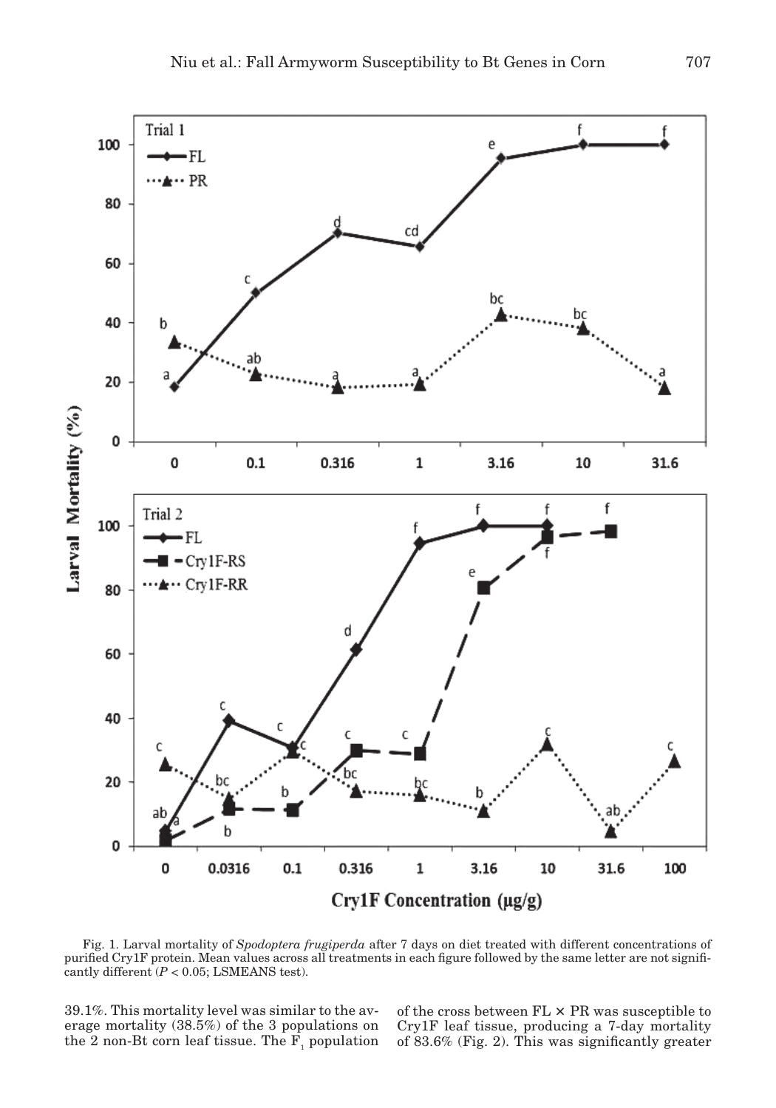

Fig. 1. Larval mortality of *Spodoptera frugiperda* after 7 days on diet treated with different concentrations of purified Cry1F protein. Mean values across all treatments in each figure followed by the same letter are not significantly different  $(P < 0.05$ ; LSMEANS test).

39.1%. This mortality level was similar to the average mortality (38.5%) of the 3 populations on the 2 non-Bt corn leaf tissue. The  $F_1$  population of the cross between  $FL \times PR$  was susceptible to Cry1F leaf tissue, producing a 7-day mortality of 83.6% (Fig. 2). This was significantly greater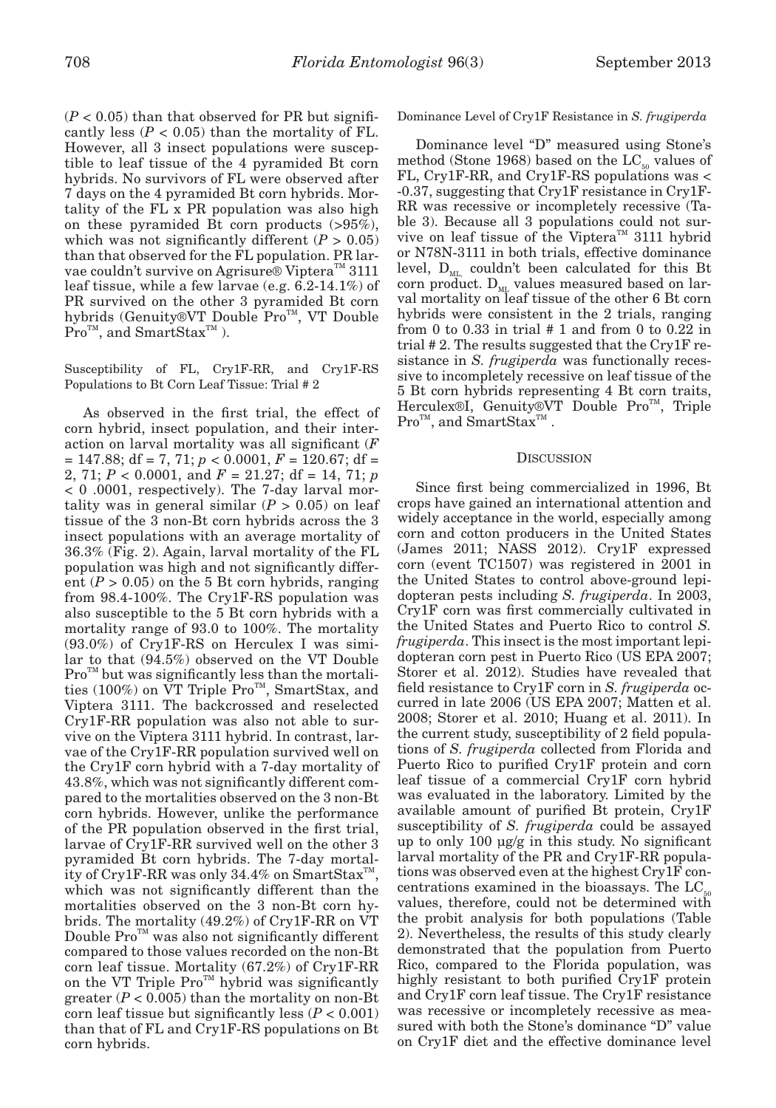$(P < 0.05)$  than that observed for PR but significantly less  $(P < 0.05)$  than the mortality of FL. However, all 3 insect populations were susceptible to leaf tissue of the 4 pyramided Bt corn hybrids. No survivors of FL were observed after 7 days on the 4 pyramided Bt corn hybrids. Mortality of the FL x PR population was also high on these pyramided Bt corn products (>95%), which was not significantly different  $(P > 0.05)$ than that observed for the FL population. PR larvae couldn't survive on Agrisure® Viptera<sup>™</sup> 3111 leaf tissue, while a few larvae (e.g. 6.2-14.1%) of PR survived on the other 3 pyramided Bt corn hybrids (Genuity®VT Double Pro™, VT Double  $Pro^{\text{TM}}$ , and SmartStax<sup>TM</sup>).

# Susceptibility of FL, Cry1F-RR, and Cry1F-RS Populations to Bt Corn Leaf Tissue: Trial # 2

As observed in the first trial, the effect of corn hybrid, insect population, and their interaction on larval mortality was all significant (*F*  = 147.88; df = 7, 71; *p* < 0.0001, *F* = 120.67; df = 2, 71;  $P < 0.0001$ , and  $F = 21.27$ ; df = 14, 71; *p* < 0 .0001, respectively). The 7-day larval mortality was in general similar  $(P > 0.05)$  on leaf tissue of the 3 non-Bt corn hybrids across the 3 insect populations with an average mortality of 36.3% (Fig. 2). Again, larval mortality of the FL population was high and not significantly different  $(P > 0.05)$  on the 5 Bt corn hybrids, ranging from 98.4-100%. The Cry1F-RS population was also susceptible to the 5 Bt corn hybrids with a mortality range of 93.0 to 100%. The mortality (93.0%) of Cry1F-RS on Herculex I was similar to that (94.5%) observed on the VT Double  $Pro<sup>TM</sup>$  but was significantly less than the mortalities (100%) on  $\check{V}T$  Triple Pro<sup>TM</sup>, SmartStax, and Viptera 3111. The backcrossed and reselected Cry1F-RR population was also not able to survive on the Viptera 3111 hybrid. In contrast, larvae of the Cry1F-RR population survived well on the Cry1F corn hybrid with a 7-day mortality of 43.8%, which was not significantly different compared to the mortalities observed on the 3 non-Bt corn hybrids. However, unlike the performance of the PR population observed in the first trial, larvae of Cry1F-RR survived well on the other 3 pyramided Bt corn hybrids. The 7-day mortality of Cry1F-RR was only 34.4% on SmartStax<sup>™</sup>, which was not significantly different than the mortalities observed on the 3 non-Bt corn hybrids. The mortality (49.2%) of Cry1F-RR on VT Double  $\operatorname{Pro}^{\scriptscriptstyle{\text{T}M}}$  was also not significantly different compared to those values recorded on the non-Bt corn leaf tissue. Mortality (67.2%) of Cry1F-RR on the VT Triple  $\text{Pro}^{\text{TM}}$  hybrid was significantly greater  $(P < 0.005)$  than the mortality on non-Bt corn leaf tissue but significantly less (*P* < 0.001) than that of FL and Cry1F-RS populations on Bt corn hybrids.

Dominance Level of Cry1F Resistance in *S. frugiperda*

Dominance level "D" measured using Stone's method (Stone 1968) based on the  $LC_{50}$  values of FL, Cry1F-RR, and Cry1F-RS populations was < -0.37, suggesting that Cry1F resistance in Cry1F-RR was recessive or incompletely recessive (Table 3). Because all 3 populations could not survive on leaf tissue of the Viptera<sup>TM</sup> 3111 hybrid or N78N-3111 in both trials, effective dominance level,  $D_{ML}$  couldn't been calculated for this Bt corn product.  $D_{ML}$  values measured based on larval mortality on leaf tissue of the other 6 Bt corn hybrids were consistent in the 2 trials, ranging from 0 to 0.33 in trial  $# 1$  and from 0 to 0.22 in trial # 2. The results suggested that the Cry1F resistance in *S. frugiperda* was functionally recessive to incompletely recessive on leaf tissue of the 5 Bt corn hybrids representing 4 Bt corn traits, Herculex®I, Genuity®VT Double Pro<sup>™</sup>, Triple  $\mathrm{Pro}^{\scriptscriptstyle{\text{TM}}}$ , and  $\mathrm{SmartStax}^{\scriptscriptstyle{\text{TM}}}$  .

### **DISCUSSION**

Since first being commercialized in 1996, Bt crops have gained an international attention and widely acceptance in the world, especially among corn and cotton producers in the United States (James 2011; NASS 2012). Cry1F expressed corn (event TC1507) was registered in 2001 in the United States to control above-ground lepidopteran pests including *S. frugiperda*. In 2003, Cry1F corn was first commercially cultivated in the United States and Puerto Rico to control *S. frugiperda*. This insect is the most important lepidopteran corn pest in Puerto Rico (US EPA 2007; Storer et al. 2012). Studies have revealed that field resistance to Cry1F corn in *S. frugiperda* occurred in late 2006 (US EPA 2007; Matten et al. 2008; Storer et al. 2010; Huang et al. 2011). In the current study, susceptibility of 2 field populations of *S. frugiperda* collected from Florida and Puerto Rico to purified Cry1F protein and corn leaf tissue of a commercial Cry1F corn hybrid was evaluated in the laboratory. Limited by the available amount of purified Bt protein, Cry1F susceptibility of *S. frugiperda* could be assayed up to only 100 µg/g in this study. No significant larval mortality of the PR and Cry1F-RR populations was observed even at the highest Cry1F con $centrations examined in the bioassays. The LC<sub>5</sub>$ values, therefore, could not be determined with the probit analysis for both populations (Table 2). Nevertheless, the results of this study clearly demonstrated that the population from Puerto Rico, compared to the Florida population, was highly resistant to both purified Cry1F protein and Cry1F corn leaf tissue. The Cry1F resistance was recessive or incompletely recessive as measured with both the Stone's dominance "D" value on Cry1F diet and the effective dominance level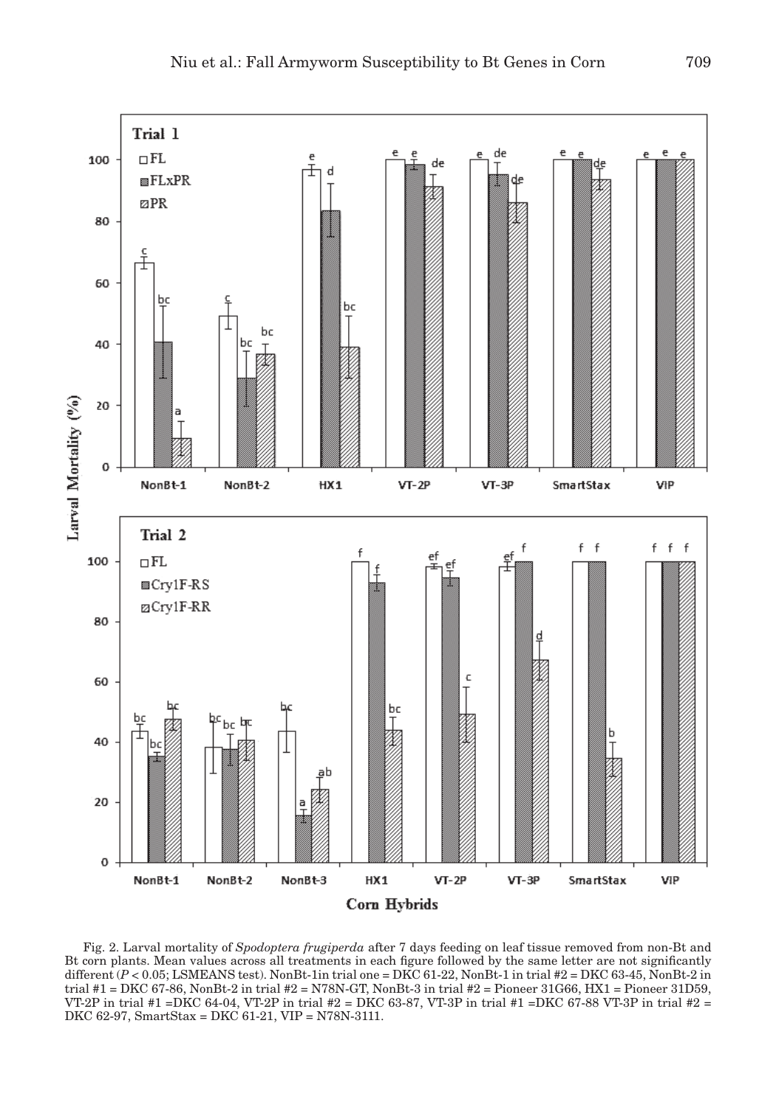

Fig. 2. Larval mortality of *Spodoptera frugiperda* after 7 days feeding on leaf tissue removed from non-Bt and Bt corn plants. Mean values across all treatments in each figure followed by the same letter are not significantly different  $(P < 0.05$ ; LSMEANS test). NonBt-1in trial one = DKC 61-22, NonBt-1 in trial #2 = DKC 63-45, NonBt-2 in trial #1 = DKC 67-86, NonBt-2 in trial #2 = N78N-GT, NonBt-3 in trial #2 = Pioneer 31G66, HX1 = Pioneer 31D59, VT-2P in trial #1 =DKC 64-04, VT-2P in trial #2 = DKC 63-87, VT-3P in trial #1 =DKC 67-88 VT-3P in trial #2 = DKC 62-97, SmartStax = DKC 61-21, VIP = N78N-3111.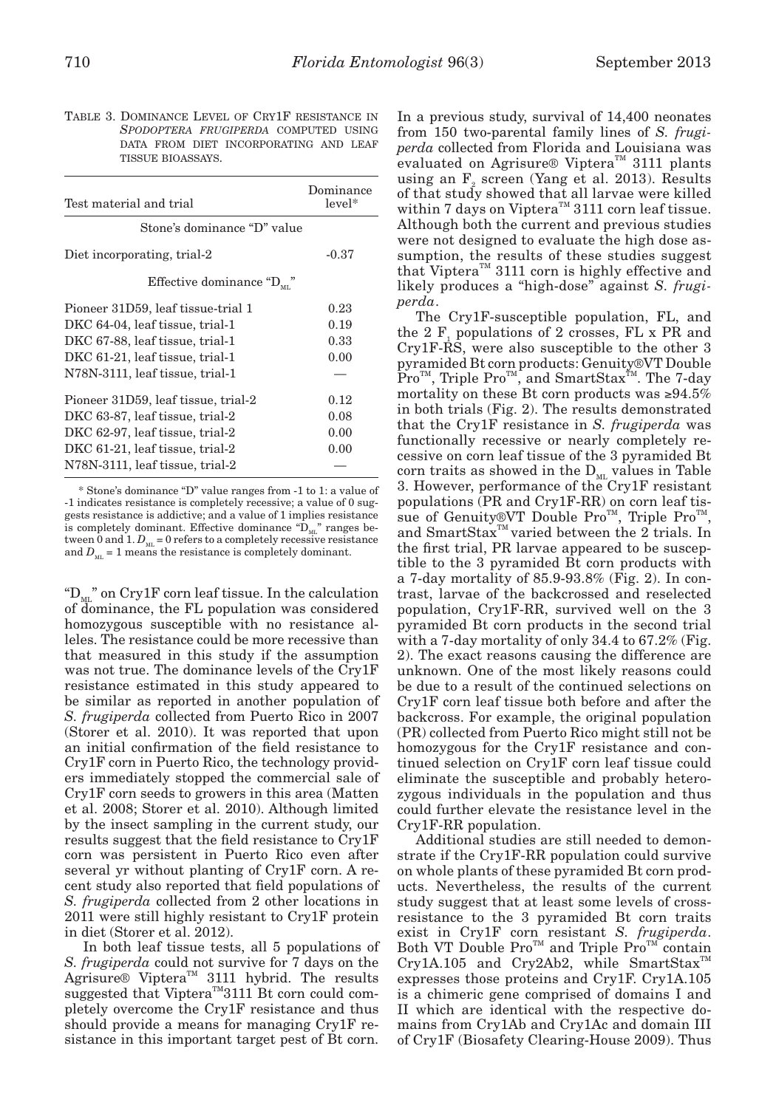Table 3. Dominance Level of Cry1F resistance in *Spodoptera frugiperda* computed using data from diet incorporating and leaf tissue bioassays.

| Test material and trial                 | Dominance<br>$level*$ |
|-----------------------------------------|-----------------------|
| Stone's dominance "D" value             |                       |
| Diet incorporating, trial-2             | $-0.37$               |
| Effective dominance " $D_{\text{ML}}$ " |                       |
| Pioneer 31D59, leaf tissue-trial 1      | 0.23                  |
| DKC 64-04, leaf tissue, trial-1         | 0.19                  |
| DKC 67-88, leaf tissue, trial-1         | 0.33                  |
| DKC 61-21, leaf tissue, trial-1         | 0.00                  |
| N78N-3111, leaf tissue, trial-1         |                       |
| Pioneer 31D59, leaf tissue, trial-2     | 0.12                  |
| DKC 63-87, leaf tissue, trial-2         | 0.08                  |
| DKC 62-97, leaf tissue, trial-2         | 0.00                  |
| DKC 61-21, leaf tissue, trial-2         | 0.00                  |
| N78N-3111, leaf tissue, trial-2         |                       |

\* Stone's dominance "D" value ranges from -1 to 1: a value of -1 indicates resistance is completely recessive; a value of 0 suggests resistance is addictive; and a value of 1 implies resistance is completely dominant. Effective dominance  ${}^{\omega}D_{ML}$ " ranges between 0 and 1.  $D_{\scriptscriptstyle \rm ML}$  = 0 refers to a completely recessive resistance and  $D_{\text{ML}} = 1$  means the resistance is completely dominant.

" $D_{\text{M}}$ " on Cry1F corn leaf tissue. In the calculation of dominance, the FL population was considered homozygous susceptible with no resistance alleles. The resistance could be more recessive than that measured in this study if the assumption was not true. The dominance levels of the Cry1F resistance estimated in this study appeared to be similar as reported in another population of *S. frugiperda* collected from Puerto Rico in 2007 (Storer et al. 2010). It was reported that upon an initial confirmation of the field resistance to Cry1F corn in Puerto Rico, the technology providers immediately stopped the commercial sale of Cry1F corn seeds to growers in this area (Matten et al. 2008; Storer et al. 2010). Although limited by the insect sampling in the current study, our results suggest that the field resistance to Cry1F corn was persistent in Puerto Rico even after several yr without planting of Cry1F corn. A recent study also reported that field populations of *S. frugiperda* collected from 2 other locations in 2011 were still highly resistant to Cry1F protein in diet (Storer et al. 2012).

In both leaf tissue tests, all 5 populations of *S. frugiperda* could not survive for 7 days on the  $A$ grisure® Viptera<sup>™</sup> 3111 hybrid. The results suggested that Viptera<sup>TM</sup>3111 Bt corn could completely overcome the Cry1F resistance and thus should provide a means for managing Cry1F resistance in this important target pest of Bt corn.

In a previous study, survival of 14,400 neonates from 150 two-parental family lines of *S. frugiperda* collected from Florida and Louisiana was evaluated on Agrisure® Viptera™ 3111 plants using an  $F_2$  screen (Yang et al. 2013). Results of that study showed that all larvae were killed within 7 days on Viptera<sup>TM</sup> 3111 corn leaf tissue. Although both the current and previous studies were not designed to evaluate the high dose assumption, the results of these studies suggest that Viptera<sup>™</sup> 3111 corn is highly effective and likely produces a "high-dose" against *S. frugiperda*.

The Cry1F-susceptible population, FL, and the 2 $F_1$  populations of 2 crosses, FL x PR and Cry1F-RS, were also susceptible to the other 3 pyramided Bt corn products: Genuity®VT Double  $\text{Pro}^{\text{TM}}$ , Triple  $\text{Pro}^{\text{TM}}$ , and SmartStax<sup> $\text{TM}}$ </sup>. The 7-day mortality on these Bt corn products was  $\geq 94.5\%$ in both trials (Fig. 2). The results demonstrated that the Cry1F resistance in *S. frugiperda* was functionally recessive or nearly completely recessive on corn leaf tissue of the 3 pyramided Bt corn traits as showed in the  $\mathbf{D}_\text{\tiny ML}$  values in Table 3. However, performance of the Cry1F resistant populations (PR and Cry1F-RR) on corn leaf tissue of Genuity®VT Double Pro™, Triple Pro<sup>™</sup> , and SmartStax<sup>™</sup> varied between the 2 trials. In the first trial, PR larvae appeared to be susceptible to the 3 pyramided Bt corn products with a 7-day mortality of 85.9-93.8% (Fig. 2). In contrast, larvae of the backcrossed and reselected population, Cry1F-RR, survived well on the 3 pyramided Bt corn products in the second trial with a 7-day mortality of only 34.4 to 67.2% (Fig. 2). The exact reasons causing the difference are unknown. One of the most likely reasons could be due to a result of the continued selections on Cry1F corn leaf tissue both before and after the backcross. For example, the original population (PR) collected from Puerto Rico might still not be homozygous for the Cry1F resistance and continued selection on Cry1F corn leaf tissue could eliminate the susceptible and probably heterozygous individuals in the population and thus could further elevate the resistance level in the Cry1F-RR population.

Additional studies are still needed to demonstrate if the Cry1F-RR population could survive on whole plants of these pyramided Bt corn products. Nevertheless, the results of the current study suggest that at least some levels of crossresistance to the 3 pyramided Bt corn traits exist in Cry1F corn resistant *S. frugiperda*. Both VT Double  $Pro^{TM}$  and Triple  $Pro^{TM}$  contain  $Cry1A.105$  and  $Cry2Ab2$ , while SmartStax<sup>TM</sup> expresses those proteins and Cry1F. Cry1A.105 is a chimeric gene comprised of domains I and II which are identical with the respective domains from Cry1Ab and Cry1Ac and domain III of Cry1F (Biosafety Clearing-House 2009). Thus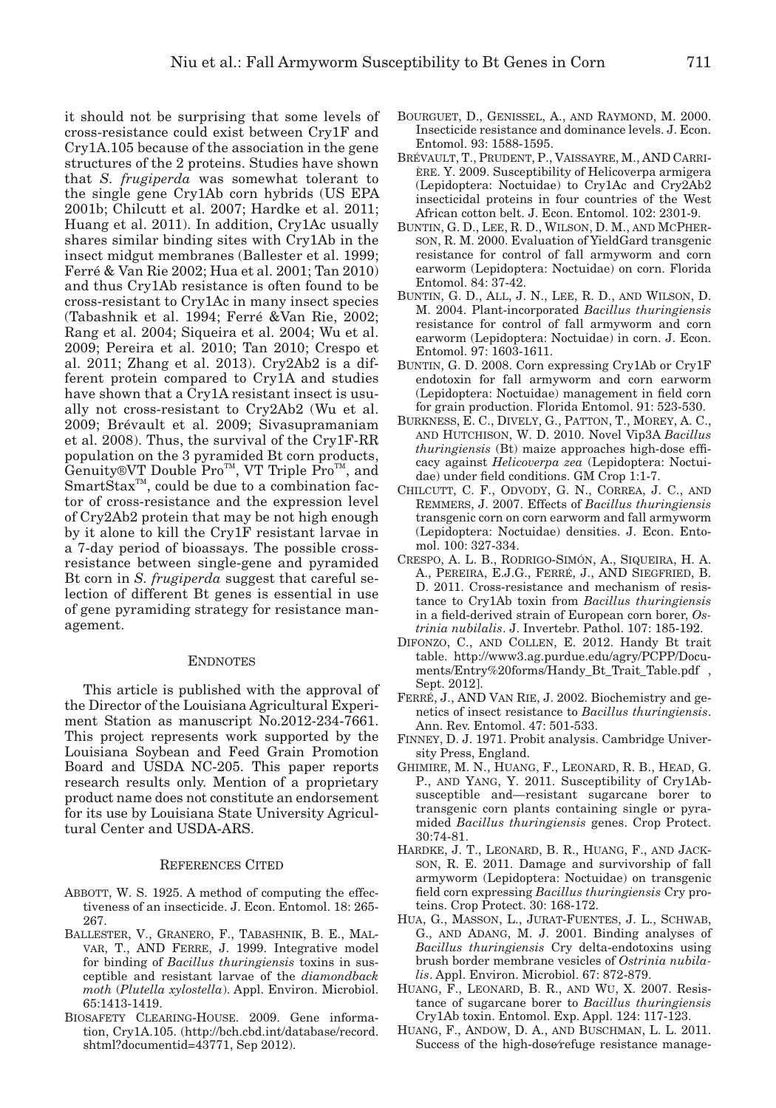it should not be surprising that some levels of cross-resistance could exist between Cry1F and Cry1A.105 because of the association in the gene structures of the 2 proteins. Studies have shown that *S. frugiperda* was somewhat tolerant to the single gene Cry1Ab corn hybrids (US EPA 2001b; Chilcutt et al. 2007; Hardke et al. 2011; Huang et al. 2011). In addition, Cry1Ac usually shares similar binding sites with Cry1Ab in the insect midgut membranes (Ballester et al. 1999; Ferré & Van Rie 2002; Hua et al. 2001; Tan 2010) and thus Cry1Ab resistance is often found to be cross-resistant to Cry1Ac in many insect species (Tabashnik et al. 1994; Ferré &Van Rie, 2002; Rang et al. 2004; Siqueira et al. 2004; Wu et al. 2009; Pereira et al. 2010; Tan 2010; Crespo et al. 2011; Zhang et al. 2013). Cry2Ab2 is a different protein compared to Cry1A and studies have shown that a Cry1A resistant insect is usually not cross-resistant to Cry2Ab2 (Wu et al. 2009; Brévault et al. 2009; Sivasupramaniam et al. 2008). Thus, the survival of the Cry1F-RR population on the 3 pyramided Bt corn products, Genuity®VT Double Pro<sup>™</sup>, VT Triple Pro<sup>™</sup>, and  $SmartStax^{TM}$ , could be due to a combination factor of cross-resistance and the expression level of Cry2Ab2 protein that may be not high enough by it alone to kill the Cry1F resistant larvae in a 7-day period of bioassays. The possible crossresistance between single-gene and pyramided Bt corn in *S. frugiperda* suggest that careful selection of different Bt genes is essential in use of gene pyramiding strategy for resistance management.

#### **ENDNOTES**

This article is published with the approval of the Director of the Louisiana Agricultural Experiment Station as manuscript No.2012-234-7661. This project represents work supported by the Louisiana Soybean and Feed Grain Promotion Board and USDA NC-205. This paper reports research results only. Mention of a proprietary product name does not constitute an endorsement for its use by Louisiana State University Agricultural Center and USDA-ARS.

#### References Cited

- ABBOTT, W. S. 1925. A method of computing the effectiveness of an insecticide. J. Econ. Entomol. 18: 265- 267.
- Ballester, V., Granero, F., Tabashnik, B. E., Malvar, T., AND Ferre, J. 1999. Integrative model for binding of *Bacillus thuringiensis* toxins in susceptible and resistant larvae of the *diamondback moth* (*Plutella xylostella*). Appl. Environ. Microbiol. 65:1413-1419.
- Biosafety Clearing-House. 2009. Gene information, Cry1A.105. (http://bch.cbd.int/database/record. shtml?documentid=43771, Sep 2012).
- Bourguet, D., Genissel, A., and Raymond, M. 2000. Insecticide resistance and dominance levels. J. Econ. Entomol. 93: 1588-1595.
- Brévault, T., Prudent, P., Vaissayre, M., AND Carrière. Y. 2009. Susceptibility of Helicoverpa armigera (Lepidoptera: Noctuidae) to Cry1Ac and Cry2Ab2 insecticidal proteins in four countries of the West African cotton belt. J. Econ. Entomol. 102: 2301-9.
- Buntin, G. D., Lee, R. D., Wilson, D. M., and McPherson, R. M. 2000. Evaluation of YieldGard transgenic resistance for control of fall armyworm and corn earworm (Lepidoptera: Noctuidae) on corn. Florida Entomol. 84: 37-42.
- Buntin, G. D., All, J. N., Lee, R. D., and Wilson, D. M. 2004. Plant-incorporated *Bacillus thuringiensis*  resistance for control of fall armyworm and corn earworm (Lepidoptera: Noctuidae) in corn. J. Econ. Entomol. 97: 1603-1611.
- Buntin, G. D. 2008. Corn expressing Cry1Ab or Cry1F endotoxin for fall armyworm and corn earworm (Lepidoptera: Noctuidae) management in field corn for grain production. Florida Entomol. 91: 523-530.
- Burkness, E. C., Dively, G., Patton, T., Morey, A. C., and Hutchison, W. D. 2010. Novel Vip3A *Bacillus thuringiensis* (Bt) maize approaches high-dose efficacy against *Helicoverpa zea* (Lepidoptera: Noctuidae) under field conditions. GM Crop 1:1-7.
- Chilcutt, C. F., Odvody, G. N., Correa, J. C., and Remmers, J. 2007. Effects of *Bacillus thuringiensis* transgenic corn on corn earworm and fall armyworm (Lepidoptera: Noctuidae) densities. J. Econ. Entomol. 100: 327-334.
- Crespo, A. L. B., Rodrigo-Simón, A., Siqueira, H. A. A., Pereira, E.J.G., Ferré, J., AND Siegfried, B. D. 2011. Cross-resistance and mechanism of resistance to Cry1Ab toxin from *Bacillus thuringiensis* in a field-derived strain of European corn borer, *Ostrinia nubilalis*. J. Invertebr. Pathol. 107: 185-192.
- Difonzo, C., and Collen, E. 2012. Handy Bt trait table. http://www3.ag.purdue.edu/agry/PCPP/Documents/Entry%20forms/Handy\_Bt\_Trait\_Table.pdf , Sept. 2012].
- Ferré, J., AND Van Rie, J. 2002. Biochemistry and genetics of insect resistance to *Bacillus thuringiensis*. Ann. Rev. Entomol. 47: 501-533.
- Finney, D. J. 1971. Probit analysis. Cambridge University Press, England.
- Ghimire, M. N., Huang, F., Leonard, R. B., Head, G. P., and Yang, Y. 2011. Susceptibility of Cry1Absusceptible and—resistant sugarcane borer to transgenic corn plants containing single or pyramided *Bacillus thuringiensis* genes. Crop Protect. 30:74-81.
- Hardke, J. T., Leonard, B. R., Huang, F., and Jackson, R. E. 2011. Damage and survivorship of fall armyworm (Lepidoptera: Noctuidae) on transgenic field corn expressing *Bacillus thuringiensis* Cry proteins. Crop Protect. 30: 168-172.
- Hua, G., Masson, L., Jurat-Fuentes, J. L., Schwab, G., and Adang, M. J. 2001. Binding analyses of *Bacillus thuringiensis* Cry delta-endotoxins using brush border membrane vesicles of *Ostrinia nubilalis*. Appl. Environ. Microbiol. 67: 872-879.
- Huang, F., Leonard, B. R., and Wu, X. 2007. Resistance of sugarcane borer to *Bacillus thuringiensis* Cry1Ab toxin. Entomol. Exp. Appl. 124: 117-123.
- Huang, F., Andow, D. A., and Buschman, L. L. 2011. Success of the high-dose⁄refuge resistance manage-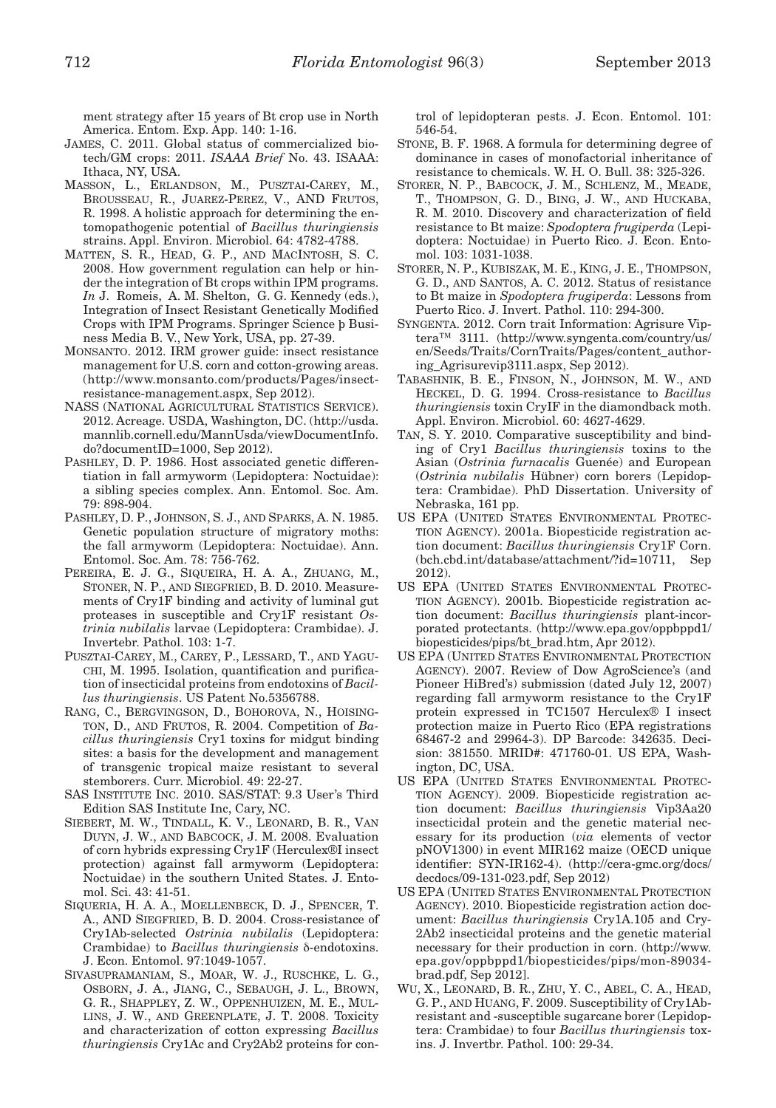ment strategy after 15 years of Bt crop use in North America. Entom. Exp. App. 140: 1-16.

- James, C. 2011. Global status of commercialized biotech/GM crops: 2011. *ISAAA Brief* No. 43. ISAAA: Ithaca, NY, USA.
- Masson, L., Erlandson, M., Pusztai-Carey, M., Brousseau, R., Juarez-Perez, V., AND Frutos, R. 1998. A holistic approach for determining the entomopathogenic potential of *Bacillus thuringiensis* strains. Appl. Environ. Microbiol. 64: 4782-4788.
- Matten, S. R., Head, G. P., and MacIntosh, S. C. 2008. How government regulation can help or hinder the integration of Bt crops within IPM programs. *In* J. Romeis, A. M. Shelton, G. G. Kennedy (eds.), Integration of Insect Resistant Genetically Modified Crops with IPM Programs. Springer Science þ Business Media B. V., New York, USA, pp. 27-39.
- Monsanto. 2012. IRM grower guide: insect resistance management for U.S. corn and cotton-growing areas. (http://www.monsanto.com/products/Pages/insectresistance-management.aspx, Sep 2012).
- NASS (National Agricultural Statistics Service). 2012. Acreage. USDA, Washington, DC. (http://usda. mannlib.cornell.edu/MannUsda/viewDocumentInfo. do?documentID=1000, Sep 2012).
- PASHLEY, D. P. 1986. Host associated genetic differentiation in fall armyworm (Lepidoptera: Noctuidae): a sibling species complex. Ann. Entomol. Soc. Am. 79: 898-904.
- Pashley, D. P., Johnson, S. J., and Sparks, A. N. 1985. Genetic population structure of migratory moths: the fall armyworm (Lepidoptera: Noctuidae). Ann. Entomol. Soc. Am. 78: 756-762.
- PEREIRA, E. J. G., SIQUEIRA, H. A. A., ZHUANG, M., Stoner, N. P., and Siegfried, B. D. 2010. Measurements of Cry1F binding and activity of luminal gut proteases in susceptible and Cry1F resistant *Ostrinia nubilalis* larvae (Lepidoptera: Crambidae). J. Invertebr. Pathol. 103: 1-7.
- Pusztai-Carey, M., Carey, P., Lessard, T., and Yaguchi, M. 1995. Isolation, quantification and purification of insecticidal proteins from endotoxins of *Bacillus thuringiensis*. US Patent No.5356788.
- Rang, C., Bergvingson, D., Bohorova, N., Hoisington, D., and Frutos, R. 2004. Competition of *Bacillus thuringiensis* Cry1 toxins for midgut binding sites: a basis for the development and management of transgenic tropical maize resistant to several stemborers. Curr. Microbiol. 49: 22-27.
- SAS Institute Inc. 2010. SAS/STAT: 9.3 User's Third Edition SAS Institute Inc, Cary, NC.
- Siebert, M. W., Tindall, K. V., Leonard, B. R., Van Duyn, J. W., and Babcock, J. M. 2008. Evaluation of corn hybrids expressing Cry1F (Herculex®I insect protection) against fall armyworm (Lepidoptera: Noctuidae) in the southern United States. J. Entomol. Sci. 43: 41-51.
- Siqueria, H. A. A., Moellenbeck, D. J., Spencer, T. A., AND Siegfried, B. D. 2004. Cross-resistance of Cry1Ab-selected *Ostrinia nubilalis* (Lepidoptera: Crambidae) to *Bacillus thuringiensis* δ-endotoxins. J. Econ. Entomol. 97:1049-1057.
- Sivasupramaniam, S., Moar, W. J., Ruschke, L. G., Osborn, J. A., Jiang, C., Sebaugh, J. L., Brown, G. R., Shappley, Z. W., Oppenhuizen, M. E., Mullins, J. W., and Greenplate, J. T. 2008. Toxicity and characterization of cotton expressing *Bacillus thuringiensis* Cry1Ac and Cry2Ab2 proteins for con-

trol of lepidopteran pests. J. Econ. Entomol. 101: 546-54.

- Stone, B. F. 1968. A formula for determining degree of dominance in cases of monofactorial inheritance of resistance to chemicals. W. H. O. Bull. 38: 325-326.
- Storer, N. P., Babcock, J. M., Schlenz, M., Meade, T., Thompson, G. D., Bing, J. W., and Huckaba, R. M. 2010. Discovery and characterization of field resistance to Bt maize: *Spodoptera frugiperda* (Lepidoptera: Noctuidae) in Puerto Rico. J. Econ. Entomol. 103: 1031-1038.
- Storer, N. P., Kubiszak, M. E., King, J. E., Thompson, G. D., and Santos, A. C. 2012. Status of resistance to Bt maize in *Spodoptera frugiperda*: Lessons from Puerto Rico. J. Invert. Pathol. 110: 294-300.
- Syngenta. 2012. Corn trait Information: Agrisure Viptera™ 3111. (http://www.syngenta.com/country/us/ en/Seeds/Traits/CornTraits/Pages/content\_authoring\_Agrisurevip3111.aspx, Sep 2012).
- Tabashnik, B. E., Finson, N., Johnson, M. W., and Heckel, D. G. 1994. Cross-resistance to *Bacillus thuringiensis* toxin CryIF in the diamondback moth. Appl. Environ. Microbiol. 60: 4627-4629.
- Tan, S. Y. 2010. Comparative susceptibility and binding of Cry1 *Bacillus thuringiensis* toxins to the Asian (*Ostrinia furnacalis* Guenée) and European (*Ostrinia nubilalis* Hübner) corn borers (Lepidoptera: Crambidae). PhD Dissertation. University of Nebraska, 161 pp.
- US EPA (United States Environmental Protection Agency). 2001a. Biopesticide registration action document: *Bacillus thuringiensis* Cry1F Corn. (bch.cbd.int/database/attachment/?id=10711, Sep 2012).
- US EPA (UNITED STATES ENVIRONMENTAL PROTECtion Agency). 2001b. Biopesticide registration action document: *Bacillus thuringiensis* plant-incorporated protectants. (http://www.epa.gov/oppbppd1/ biopesticides/pips/bt\_brad.htm, Apr 2012).
- US EPA (United States Environmental Protection Agency). 2007. Review of Dow AgroScience's (and Pioneer HiBred's) submission (dated July 12, 2007) regarding fall armyworm resistance to the Cry1F protein expressed in TC1507 Herculex® I insect protection maize in Puerto Rico (EPA registrations 68467-2 and 29964-3). DP Barcode: 342635. Decision: 381550. MRID#: 471760-01. US EPA, Washington, DC, USA.
- US EPA (United States Environmental Protection Agency). 2009. Biopesticide registration action document: *Bacillus thuringiensis* Vip3Aa20 insecticidal protein and the genetic material necessary for its production (*via* elements of vector pNOV1300) in event MIR162 maize (OECD unique identifier: SYN-IR162-4). (http://cera-gmc.org/docs/ decdocs/09-131-023.pdf, Sep 2012)
- US EPA (United States Environmental Protection Agency). 2010. Biopesticide registration action document: *Bacillus thuringiensis* Cry1A.105 and Cry-2Ab2 insecticidal proteins and the genetic material necessary for their production in corn. (http://www. epa.gov/oppbppd1/biopesticides/pips/mon-89034 brad.pdf, Sep 2012].
- Wu, X., Leonard, B. R., Zhu, Y. C., Abel, C. A., Head, G. P., and Huang, F. 2009. Susceptibility of Cry1Abresistant and -susceptible sugarcane borer (Lepidoptera: Crambidae) to four *Bacillus thuringiensis* toxins. J. Invertbr. Pathol. 100: 29-34.